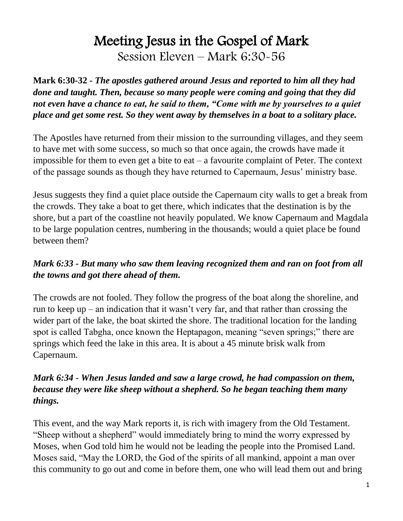# Meeting Jesus in the Gospel of Mark Session Eleven – Mark 6:30-56

**Mark 6:30-32** *- The apostles gathered around Jesus and reported to him all they had done and taught. Then, because so many people were coming and going that they did not even have a chance to eat, he said to them, "Come with me by yourselves to a quiet place and get some rest. So they went away by themselves in a boat to a solitary place.*

The Apostles have returned from their mission to the surrounding villages, and they seem to have met with some success, so much so that once again, the crowds have made it impossible for them to even get a bite to eat  $-$  a favourite complaint of Peter. The context of the passage sounds as though they have returned to Capernaum, Jesus' ministry base.

Jesus suggests they find a quiet place outside the Capernaum city walls to get a break from the crowds. They take a boat to get there, which indicates that the destination is by the shore, but a part of the coastline not heavily populated. We know Capernaum and Magdala to be large population centres, numbering in the thousands; would a quiet place be found between them?

## *Mark 6:33 - But many who saw them leaving recognized them and ran on foot from all the towns and got there ahead of them.*

The crowds are not fooled. They follow the progress of the boat along the shoreline, and run to keep up – an indication that it wasn't very far, and that rather than crossing the wider part of the lake, the boat skirted the shore. The traditional location for the landing spot is called Tabgha, once known the Heptapagon, meaning "seven springs;" there are springs which feed the lake in this area. It is about a 45 minute brisk walk from Capernaum.

#### *Mark 6:34 - When Jesus landed and saw a large crowd, he had compassion on them, because they were like sheep without a shepherd. So he began teaching them many things.*

This event, and the way Mark reports it, is rich with imagery from the Old Testament. "Sheep without a shepherd" would immediately bring to mind the worry expressed by Moses, when God told him he would not be leading the people into the Promised Land. Moses said, "May the LORD, the God of the spirits of all mankind, appoint a man over this community to go out and come in before them, one who will lead them out and bring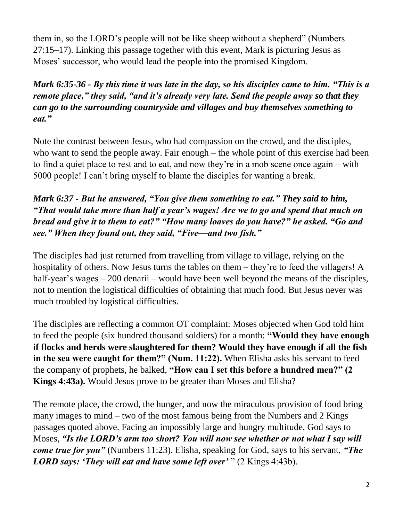them in, so the LORD's people will not be like sheep without a shepherd" (Numbers 27:15–17). Linking this passage together with this event, Mark is picturing Jesus as Moses' successor, who would lead the people into the promised Kingdom.

*Mark 6:35-36 - By this time it was late in the day, so his disciples came to him. "This is a remote place," they said, "and it's already very late. Send the people away so that they can go to the surrounding countryside and villages and buy themselves something to eat."*

Note the contrast between Jesus, who had compassion on the crowd, and the disciples, who want to send the people away. Fair enough – the whole point of this exercise had been to find a quiet place to rest and to eat, and now they're in a mob scene once again – with 5000 people! I can't bring myself to blame the disciples for wanting a break.

## *Mark 6:37 - But he answered, "You give them something to eat." They said to him, "That would take more than half a year's wages! Are we to go and spend that much on bread and give it to them to eat?" "How many loaves do you have?" he asked. "Go and see." When they found out, they said, "Five—and two fish."*

The disciples had just returned from travelling from village to village, relying on the hospitality of others. Now Jesus turns the tables on them – they're to feed the villagers! A half-year's wages – 200 denarii – would have been well beyond the means of the disciples, not to mention the logistical difficulties of obtaining that much food. But Jesus never was much troubled by logistical difficulties.

The disciples are reflecting a common OT complaint: Moses objected when God told him to feed the people (six hundred thousand soldiers) for a month: **"Would they have enough if flocks and herds were slaughtered for them? Would they have enough if all the fish in the sea were caught for them?" (Num. 11:22).** When Elisha asks his servant to feed the company of prophets, he balked, **"How can I set this before a hundred men?" (2 Kings 4:43a).** Would Jesus prove to be greater than Moses and Elisha?

The remote place, the crowd, the hunger, and now the miraculous provision of food bring many images to mind – two of the most famous being from the Numbers and 2 Kings passages quoted above. Facing an impossibly large and hungry multitude, God says to Moses, *"Is the LORD's arm too short? You will now see whether or not what I say will come true for you"* (Numbers 11:23). Elisha, speaking for God, says to his servant, *"The LORD says: 'They will eat and have some left over'* " (2 Kings 4:43b).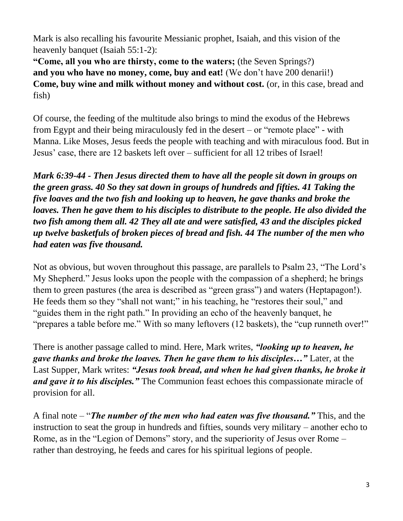Mark is also recalling his favourite Messianic prophet, Isaiah, and this vision of the heavenly banquet (Isaiah 55:1-2):

**"Come, all you who are thirsty, come to the waters;** (the Seven Springs?) **and you who have no money, come, buy and eat!** (We don't have 200 denarii!) **Come, buy wine and milk without money and without cost.** (or, in this case, bread and fish)

Of course, the feeding of the multitude also brings to mind the exodus of the Hebrews from Egypt and their being miraculously fed in the desert – or "remote place" - with Manna. Like Moses, Jesus feeds the people with teaching and with miraculous food. But in Jesus' case, there are 12 baskets left over – sufficient for all 12 tribes of Israel!

*Mark 6:39-44 - Then Jesus directed them to have all the people sit down in groups on the green grass. 40 So they sat down in groups of hundreds and fifties. 41 Taking the five loaves and the two fish and looking up to heaven, he gave thanks and broke the loaves. Then he gave them to his disciples to distribute to the people. He also divided the two fish among them all. 42 They all ate and were satisfied, 43 and the disciples picked up twelve basketfuls of broken pieces of bread and fish. 44 The number of the men who had eaten was five thousand.*

Not as obvious, but woven throughout this passage, are parallels to Psalm 23, "The Lord's My Shepherd." Jesus looks upon the people with the compassion of a shepherd; he brings them to green pastures (the area is described as "green grass") and waters (Heptapagon!). He feeds them so they "shall not want;" in his teaching, he "restores their soul," and "guides them in the right path." In providing an echo of the heavenly banquet, he "prepares a table before me." With so many leftovers (12 baskets), the "cup runneth over!"

There is another passage called to mind. Here, Mark writes, *"looking up to heaven, he gave thanks and broke the loaves. Then he gave them to his disciples…"* Later, at the Last Supper, Mark writes: *"Jesus took bread, and when he had given thanks, he broke it and gave it to his disciples."* The Communion feast echoes this compassionate miracle of provision for all.

A final note – "*The number of the men who had eaten was five thousand."* This, and the instruction to seat the group in hundreds and fifties, sounds very military – another echo to Rome, as in the "Legion of Demons" story, and the superiority of Jesus over Rome – rather than destroying, he feeds and cares for his spiritual legions of people.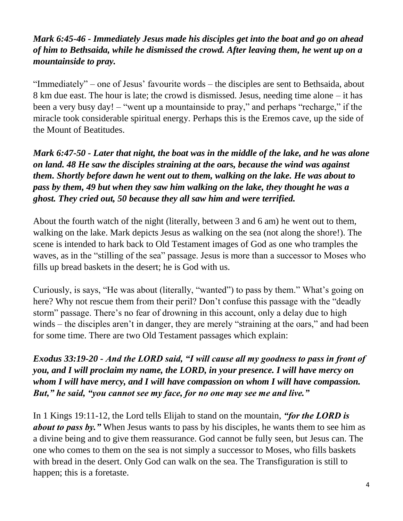## *Mark 6:45-46 - Immediately Jesus made his disciples get into the boat and go on ahead of him to Bethsaida, while he dismissed the crowd. After leaving them, he went up on a mountainside to pray.*

"Immediately" – one of Jesus' favourite words – the disciples are sent to Bethsaida, about 8 km due east. The hour is late; the crowd is dismissed. Jesus, needing time alone – it has been a very busy day! – "went up a mountainside to pray," and perhaps "recharge," if the miracle took considerable spiritual energy. Perhaps this is the Eremos cave, up the side of the Mount of Beatitudes.

*Mark 6:47-50 - Later that night, the boat was in the middle of the lake, and he was alone on land. 48 He saw the disciples straining at the oars, because the wind was against them. Shortly before dawn he went out to them, walking on the lake. He was about to pass by them, 49 but when they saw him walking on the lake, they thought he was a ghost. They cried out, 50 because they all saw him and were terrified.*

About the fourth watch of the night (literally, between 3 and 6 am) he went out to them, walking on the lake. Mark depicts Jesus as walking on the sea (not along the shore!). The scene is intended to hark back to Old Testament images of God as one who tramples the waves, as in the "stilling of the sea" passage. Jesus is more than a successor to Moses who fills up bread baskets in the desert; he is God with us.

Curiously, is says, "He was about (literally, "wanted") to pass by them." What's going on here? Why not rescue them from their peril? Don't confuse this passage with the "deadly storm" passage. There's no fear of drowning in this account, only a delay due to high winds – the disciples aren't in danger, they are merely "straining at the oars," and had been for some time. There are two Old Testament passages which explain:

*Exodus 33:19-20 - And the LORD said, "I will cause all my goodness to pass in front of you, and I will proclaim my name, the LORD, in your presence. I will have mercy on whom I will have mercy, and I will have compassion on whom I will have compassion. But," he said, "you cannot see my face, for no one may see me and live."*

In 1 Kings 19:11-12, the Lord tells Elijah to stand on the mountain, *"for the LORD is about to pass by."* When Jesus wants to pass by his disciples, he wants them to see him as a divine being and to give them reassurance. God cannot be fully seen, but Jesus can. The one who comes to them on the sea is not simply a successor to Moses, who fills baskets with bread in the desert. Only God can walk on the sea. The Transfiguration is still to happen; this is a foretaste.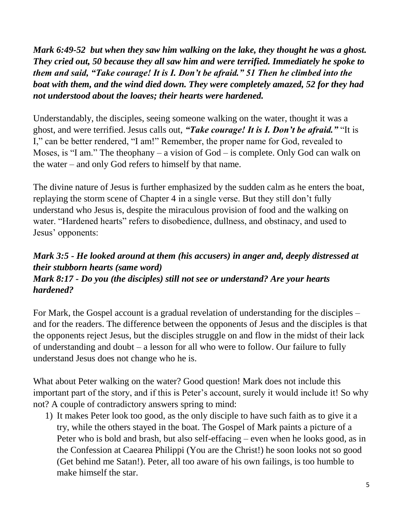*Mark 6:49-52 but when they saw him walking on the lake, they thought he was a ghost. They cried out, 50 because they all saw him and were terrified. Immediately he spoke to them and said, "Take courage! It is I. Don't be afraid." 51 Then he climbed into the boat with them, and the wind died down. They were completely amazed, 52 for they had not understood about the loaves; their hearts were hardened.*

Understandably, the disciples, seeing someone walking on the water, thought it was a ghost, and were terrified. Jesus calls out, *"Take courage! It is I. Don't be afraid."* "It is I," can be better rendered, "I am!" Remember, the proper name for God, revealed to Moses, is "I am." The theophany – a vision of God – is complete. Only God can walk on the water – and only God refers to himself by that name.

The divine nature of Jesus is further emphasized by the sudden calm as he enters the boat, replaying the storm scene of Chapter 4 in a single verse. But they still don't fully understand who Jesus is, despite the miraculous provision of food and the walking on water. "Hardened hearts" refers to disobedience, dullness, and obstinacy, and used to Jesus' opponents:

#### *Mark 3:5 - He looked around at them (his accusers) in anger and, deeply distressed at their stubborn hearts (same word) Mark 8:17 - Do you (the disciples) still not see or understand? Are your hearts hardened?*

For Mark, the Gospel account is a gradual revelation of understanding for the disciples – and for the readers. The difference between the opponents of Jesus and the disciples is that the opponents reject Jesus, but the disciples struggle on and flow in the midst of their lack of understanding and doubt – a lesson for all who were to follow. Our failure to fully understand Jesus does not change who he is.

What about Peter walking on the water? Good question! Mark does not include this important part of the story, and if this is Peter's account, surely it would include it! So why not? A couple of contradictory answers spring to mind:

1) It makes Peter look too good, as the only disciple to have such faith as to give it a try, while the others stayed in the boat. The Gospel of Mark paints a picture of a Peter who is bold and brash, but also self-effacing – even when he looks good, as in the Confession at Caearea Philippi (You are the Christ!) he soon looks not so good (Get behind me Satan!). Peter, all too aware of his own failings, is too humble to make himself the star.